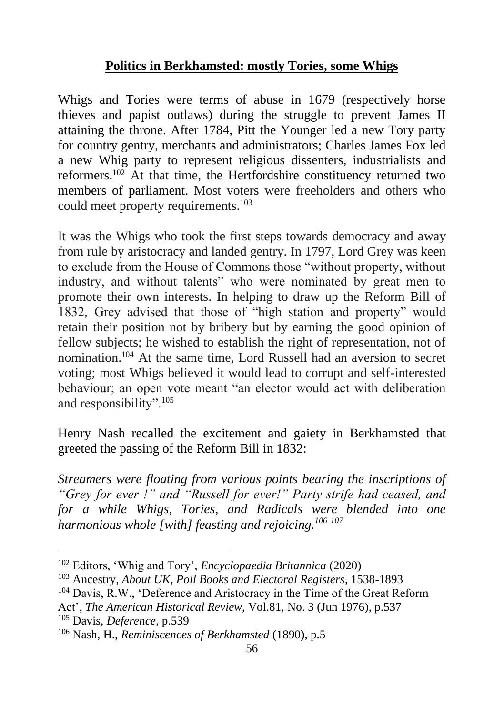## **Politics in Berkhamsted: mostly Tories, some Whigs**

Whigs and Tories were terms of abuse in 1679 (respectively horse thieves and papist outlaws) during the struggle to prevent James II attaining the throne. After 1784, Pitt the Younger led a new Tory party for country gentry, merchants and administrators; Charles James Fox led a new Whig party to represent religious dissenters, industrialists and reformers.<sup>102</sup> At that time, the Hertfordshire constituency returned two members of parliament. Most voters were freeholders and others who could meet property requirements.<sup>103</sup>

It was the Whigs who took the first steps towards democracy and away from rule by aristocracy and landed gentry. In 1797, Lord Grey was keen to exclude from the House of Commons those "without property, without industry, and without talents" who were nominated by great men to promote their own interests. In helping to draw up the Reform Bill of 1832, Grey advised that those of "high station and property" would retain their position not by bribery but by earning the good opinion of fellow subjects; he wished to establish the right of representation, not of nomination.<sup>104</sup> At the same time, Lord Russell had an aversion to secret voting; most Whigs believed it would lead to corrupt and self-interested behaviour; an open vote meant "an elector would act with deliberation and responsibility".<sup>105</sup>

Henry Nash recalled the excitement and gaiety in Berkhamsted that greeted the passing of the Reform Bill in 1832:

*Streamers were floating from various points bearing the inscriptions of "Grey for ever !" and "Russell for ever!" Party strife had ceased, and for a while Whigs, Tories, and Radicals were blended into one harmonious whole [with] feasting and rejoicing.<sup>106</sup> <sup>107</sup>*

<sup>102</sup> Editors, 'Whig and Tory', *Encyclopaedia Britannica* (2020)

<sup>103</sup> Ancestry, *About UK, Poll Books and Electoral Registers*, 1538-1893

<sup>&</sup>lt;sup>104</sup> Davis, R.W., 'Deference and Aristocracy in the Time of the Great Reform

Act', *The American Historical Review,* Vol.81, No. 3 (Jun 1976), p.537 <sup>105</sup> Davis, *Deference*, p.539

<sup>106</sup> Nash, H., *Reminiscences of Berkhamsted* (1890), p.5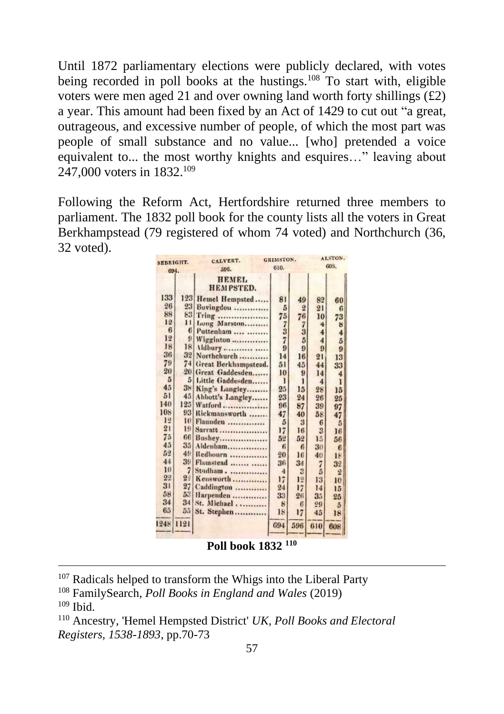Until 1872 parliamentary elections were publicly declared, with votes being recorded in poll books at the hustings.<sup>108</sup> To start with, eligible voters were men aged 21 and over owning land worth forty shillings  $(f2)$ a year. This amount had been fixed by an Act of 1429 to cut out "a great, outrageous, and excessive number of people, of which the most part was people of small substance and no value... [who] pretended a voice equivalent to... the most worthy knights and esquires..." leaving about 247,000 voters in 1832.<sup>109</sup>

Following the Reform Act, Hertfordshire returned three members to parliament. The 1832 poll book for the county lists all the voters in Great Berkhampstead (79 registered of whom 74 voted) and Northchurch (36, 32 voted).

| <b>SEBRIGHT.</b> |                | CALVERT.                         | GRIMSTON.        |                | ALSTON.          |                |
|------------------|----------------|----------------------------------|------------------|----------------|------------------|----------------|
| 694.             |                | 596.                             | 610.             |                | 60S.             |                |
|                  |                | <b>HEMEL</b><br><b>HEMPSTED.</b> |                  |                |                  |                |
| 133              | 123            | Hemel Hempsted                   | 81               | 49             | 82               | 60             |
| 26               | 23             | Bovingdon                        | 5                | $\overline{2}$ | 21               | 6              |
| 88               | 83             | Tring                            | 75               | 76             | 10               | 73             |
| 12               | $\mathbf{1}$   | Long Marston                     |                  | 7              | 4                | 8              |
| 6                | 6              | Puttenham                        | $\frac{7}{7}$    | 3              | 4                | 4              |
| 12               | 9              | Wigginton                        |                  | $\overline{5}$ | 4                | 5              |
| 18               | 18             | Mdbury                           | $\boldsymbol{9}$ | 9              | $\boldsymbol{9}$ | 9              |
| 36               | 32             | Northchurch                      | 14               | 16             | 21               | 13             |
| 79               | 74             | Great Berkhampstead.             | 51               | 45             | 44               | 33             |
| 20               | $-20$          | Great Gaddesden                  | 10               | 9              | 14               | 4              |
| 5                | 5              | Little Gaddesden                 | 1                | ī              | $\overline{4}$   | ī              |
| 45               | 38             | King's Langley                   | 25               | 15             | 28               | 15             |
| 51               | 45             | Abbott's Langley                 | 23               | 24             | 26               | 25             |
| 140              | 125            | Watford                          | 96               | 87             | 39               | 97             |
| 108              | 93             | Rickmansworth                    | 47               | 40             | 58               | 47             |
| 12               | 10             | Flaunden                         | 5                | 3              | 6                | 5              |
| 21               | 19             | Sarratt                          | 17               | 16             | 3                | 16             |
| 75               | 66             | Bushey                           | 52               | 52             | 15               | 56             |
| 45               | 35             | Aldenham                         | $\epsilon$       | 6              | 30               | 6              |
| 52               | 49             | Redbourn                         | 20               | 16             | 40               | 18             |
| 44               | 39             | Flamstead                        | 36               | 34             | 7                | 32             |
| 10               | 7              | Studham                          | 4                | 3              | 5                | $\overline{2}$ |
| 22               | 2 <sup>1</sup> | Kensworth                        | 17               | 12             | 13               | 10             |
| 31               | 27             | Caddington                       | 24               | 17             | 14               | 15             |
| 58               | 53             | Harpenden                        | 33               | 26             | 35               | 25             |
| 34               | 34             | St. Michael                      | 8                | 6              | 29               | 5              |
| 65               | 55             | St. Stephen                      | 18               | 17             | 45               | 18             |
| 1248             | 1121           |                                  | 694              | 596            | 610              | 608            |

**Poll book 1832 <sup>110</sup>**

<sup>&</sup>lt;sup>107</sup> Radicals helped to transform the Whigs into the Liberal Party

<sup>108</sup> FamilySearch, *Poll Books in England and Wales* (2019)  $109$  Ibid.

<sup>110</sup> Ancestry, 'Hemel Hempsted District' *UK, Poll Books and Electoral Registers, 1538-1893*, pp.70-73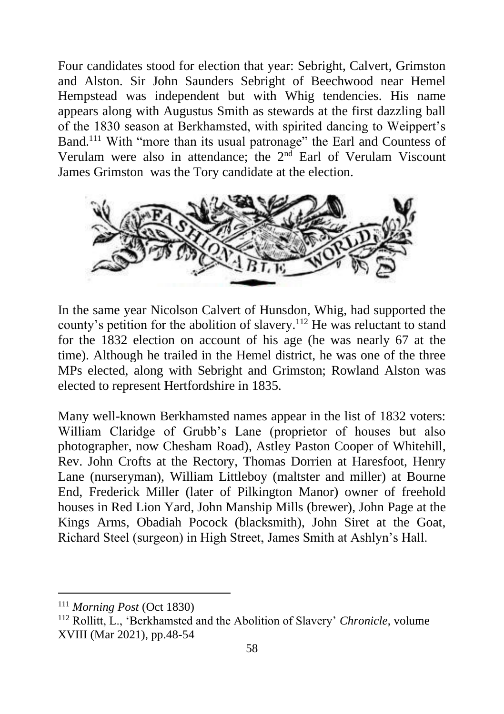Four candidates stood for election that year: Sebright, Calvert, Grimston and Alston. Sir John Saunders Sebright of Beechwood near Hemel Hempstead was independent but with Whig tendencies. His name appears along with Augustus Smith as stewards at the first dazzling ball of the 1830 season at Berkhamsted, with spirited dancing to Weippert's Band.<sup>111</sup> With "more than its usual patronage" the Earl and Countess of Verulam were also in attendance; the 2<sup>nd</sup> Earl of Verulam Viscount James Grimston was the Tory candidate at the election.



In the same year Nicolson Calvert of Hunsdon, Whig, had supported the county's petition for the abolition of slavery.<sup>112</sup> He was reluctant to stand for the 1832 election on account of his age (he was nearly 67 at the time). Although he trailed in the Hemel district, he was one of the three MPs elected, along with Sebright and Grimston; Rowland Alston was elected to represent Hertfordshire in 1835.

Many well-known Berkhamsted names appear in the list of 1832 voters: William Claridge of Grubb's Lane (proprietor of houses but also photographer, now Chesham Road), Astley Paston Cooper of Whitehill, Rev. John Crofts at the Rectory, Thomas Dorrien at Haresfoot, Henry Lane (nurseryman), William Littleboy (maltster and miller) at Bourne End, Frederick Miller (later of Pilkington Manor) owner of freehold houses in Red Lion Yard, John Manship Mills (brewer), John Page at the Kings Arms, Obadiah Pocock (blacksmith), John Siret at the Goat, Richard Steel (surgeon) in High Street, James Smith at Ashlyn's Hall.

<sup>111</sup> *Morning Post* (Oct 1830)

<sup>112</sup> Rollitt, L., 'Berkhamsted and the Abolition of Slavery' *Chronicle*, volume XVIII (Mar 2021), pp.48-54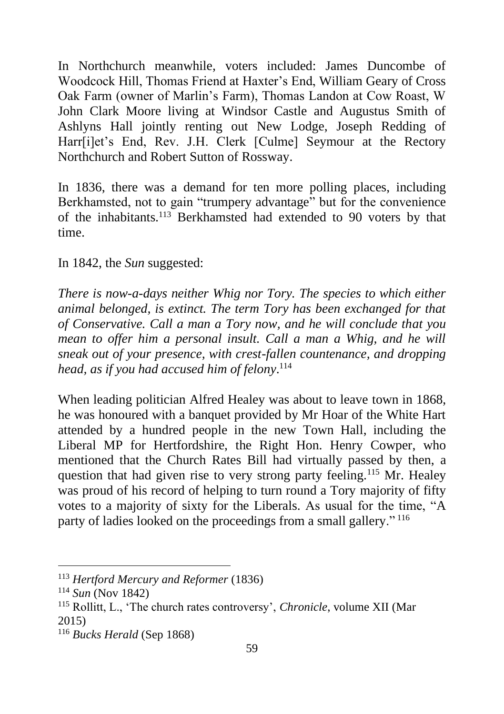In Northchurch meanwhile, voters included: James Duncombe of Woodcock Hill, Thomas Friend at Haxter's End, William Geary of Cross Oak Farm (owner of Marlin's Farm), Thomas Landon at Cow Roast, W John Clark Moore living at Windsor Castle and Augustus Smith of Ashlyns Hall jointly renting out New Lodge, Joseph Redding of Harr[i]et's End, Rev. J.H. Clerk [Culme] Seymour at the Rectory Northchurch and Robert Sutton of Rossway.

In 1836, there was a demand for ten more polling places, including Berkhamsted, not to gain "trumpery advantage" but for the convenience of the inhabitants.<sup>113</sup> Berkhamsted had extended to 90 voters by that time.

In 1842, the *Sun* suggested:

*There is now-a-days neither Whig nor Tory. The species to which either animal belonged, is extinct. The term Tory has been exchanged for that of Conservative. Call a man a Tory now, and he will conclude that you mean to offer him a personal insult. Call a man a Whig, and he will sneak out of your presence, with crest-fallen countenance, and dropping head, as if you had accused him of felony*. 114

When leading politician Alfred Healey was about to leave town in 1868, he was honoured with a banquet provided by Mr Hoar of the White Hart attended by a hundred people in the new Town Hall, including the Liberal MP for Hertfordshire, the Right Hon. Henry Cowper, who mentioned that the Church Rates Bill had virtually passed by then, a question that had given rise to very strong party feeling.<sup>115</sup> Mr. Healey was proud of his record of helping to turn round a Tory majority of fifty votes to a majority of sixty for the Liberals. As usual for the time, "A party of ladies looked on the proceedings from a small gallery." <sup>116</sup>

<sup>113</sup> *Hertford Mercury and Reformer* (1836)

<sup>114</sup> *Sun* (Nov 1842)

<sup>115</sup> Rollitt, L., 'The church rates controversy', *Chronicle*, volume XII (Mar 2015)

<sup>116</sup> *Bucks Herald* (Sep 1868)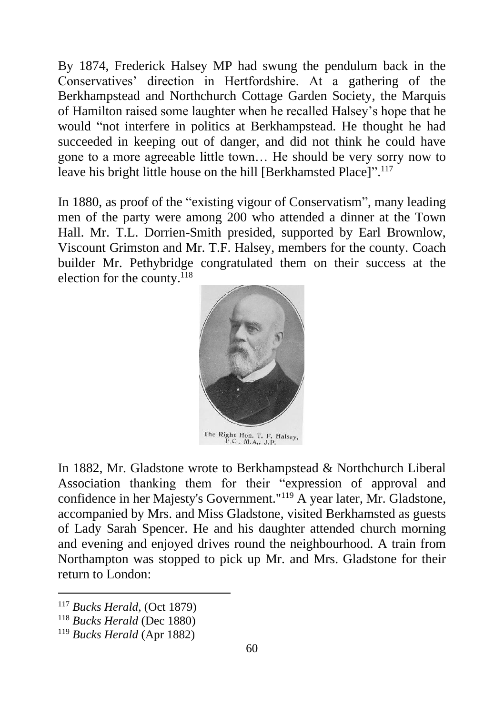By 1874, Frederick Halsey MP had swung the pendulum back in the Conservatives' direction in Hertfordshire. At a gathering of the Berkhampstead and Northchurch Cottage Garden Society, the Marquis of Hamilton raised some laughter when he recalled Halsey's hope that he would "not interfere in politics at Berkhampstead. He thought he had succeeded in keeping out of danger, and did not think he could have gone to a more agreeable little town… He should be very sorry now to leave his bright little house on the hill [Berkhamsted Place]". 117

In 1880, as proof of the "existing vigour of Conservatism", many leading men of the party were among 200 who attended a dinner at the Town Hall. Mr. T.L. Dorrien-Smith presided, supported by Earl Brownlow, Viscount Grimston and Mr. T.F. Halsey, members for the county. Coach builder Mr. Pethybridge congratulated them on their success at the election for the county. 118



The Right Hon. T. F. Halsey, P.C., M.A., J.P.

In 1882, Mr. Gladstone wrote to Berkhampstead & Northchurch Liberal Association thanking them for their "expression of approval and confidence in her Majesty's Government."<sup>119</sup> A year later, Mr. Gladstone, accompanied by Mrs. and Miss Gladstone, visited Berkhamsted as guests of Lady Sarah Spencer. He and his daughter attended church morning and evening and enjoyed drives round the neighbourhood. A train from Northampton was stopped to pick up Mr. and Mrs. Gladstone for their return to London:

<sup>117</sup> *Bucks Herald*, (Oct 1879)

<sup>118</sup> *Bucks Herald* (Dec 1880)

<sup>119</sup> *Bucks Herald* (Apr 1882)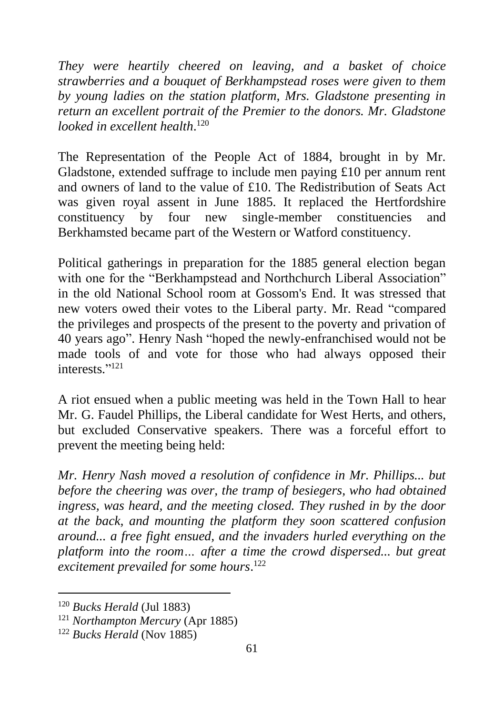*They were heartily cheered on leaving, and a basket of choice strawberries and a bouquet of Berkhampstead roses were given to them by young ladies on the station platform, Mrs. Gladstone presenting in return an excellent portrait of the Premier to the donors. Mr. Gladstone looked in excellent health*. 120

The Representation of the People Act of 1884, brought in by Mr. Gladstone, extended suffrage to include men paying £10 per annum rent and owners of land to the value of £10. The Redistribution of Seats Act was given royal assent in June 1885. It replaced the Hertfordshire constituency by four new single-member constituencies and Berkhamsted became part of the Western or Watford constituency.

Political gatherings in preparation for the 1885 general election began with one for the "Berkhampstead and Northchurch Liberal Association" in the old National School room at Gossom's End. It was stressed that new voters owed their votes to the Liberal party. Mr. Read "compared the privileges and prospects of the present to the poverty and privation of 40 years ago". Henry Nash "hoped the newly-enfranchised would not be made tools of and vote for those who had always opposed their interests." 121

A riot ensued when a public meeting was held in the Town Hall to hear Mr. G. Faudel Phillips, the Liberal candidate for West Herts, and others, but excluded Conservative speakers. There was a forceful effort to prevent the meeting being held:

*Mr. Henry Nash moved a resolution of confidence in Mr. Phillips... but before the cheering was over, the tramp of besiegers, who had obtained ingress, was heard, and the meeting closed. They rushed in by the door at the back, and mounting the platform they soon scattered confusion around... a free fight ensued, and the invaders hurled everything on the platform into the room… after a time the crowd dispersed... but great excitement prevailed for some hours*. 122

<sup>120</sup> *Bucks Herald* (Jul 1883)

<sup>121</sup> *Northampton Mercury* (Apr 1885)

<sup>122</sup> *Bucks Herald* (Nov 1885)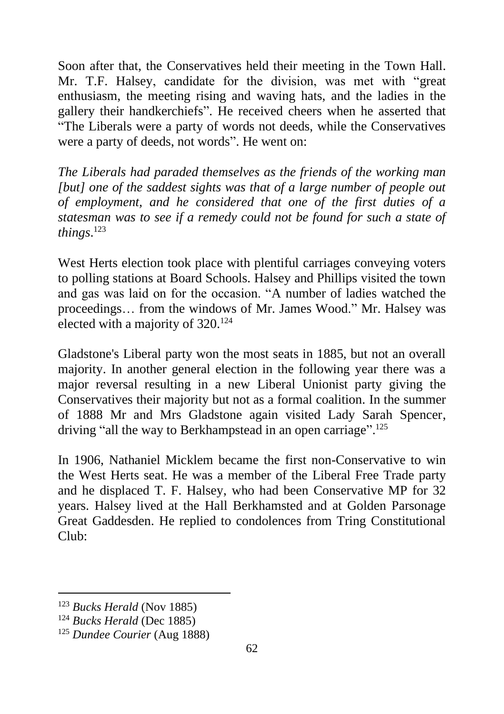Soon after that, the Conservatives held their meeting in the Town Hall. Mr. T.F. Halsey, candidate for the division, was met with "great enthusiasm, the meeting rising and waving hats, and the ladies in the gallery their handkerchiefs". He received cheers when he asserted that "The Liberals were a party of words not deeds, while the Conservatives were a party of deeds, not words". He went on:

*The Liberals had paraded themselves as the friends of the working man [but] one of the saddest sights was that of a large number of people out of employment, and he considered that one of the first duties of a statesman was to see if a remedy could not be found for such a state of things*. 123

West Herts election took place with plentiful carriages conveying voters to polling stations at Board Schools. Halsey and Phillips visited the town and gas was laid on for the occasion. "A number of ladies watched the proceedings… from the windows of Mr. James Wood." Mr. Halsey was elected with a majority of  $320^{124}$ 

Gladstone's Liberal party won the most seats in 1885, but not an overall majority. In another general election in the following year there was a major reversal resulting in a new Liberal Unionist party giving the Conservatives their majority but not as a formal coalition. In the summer of 1888 Mr and Mrs Gladstone again visited Lady Sarah Spencer, driving "all the way to Berkhampstead in an open carriage".<sup>125</sup>

In 1906, Nathaniel Micklem became the first non-Conservative to win the West Herts seat. He was a member of the Liberal Free Trade party and he displaced T. F. Halsey, who had been Conservative MP for 32 years. Halsey lived at the Hall Berkhamsted and at Golden Parsonage Great Gaddesden. He replied to condolences from Tring Constitutional  $Cl<sub>u</sub>$ <sub>b</sub>.

<sup>123</sup> *Bucks Herald* (Nov 1885)

<sup>124</sup> *Bucks Herald* (Dec 1885)

<sup>125</sup> *Dundee Courier* (Aug 1888)